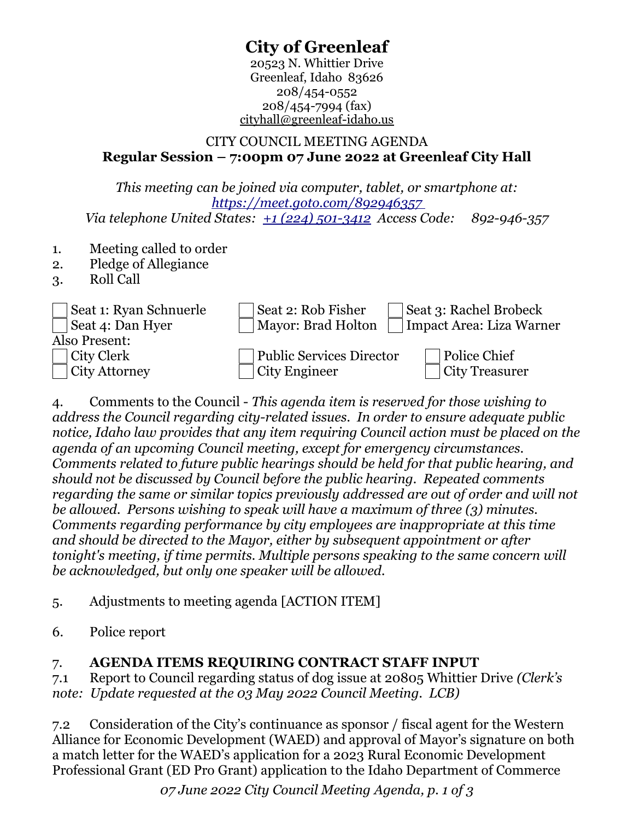# **City of Greenleaf**

20523 N. Whittier Drive Greenleaf, Idaho 83626 208/454-0552 208/454-7994 (fax) cityhall@greenleaf-idaho.us

### CITY COUNCIL MEETING AGENDA **Regular Session – 7:00pm 07 June 2022 at Greenleaf City Hall**

*This meeting can be joined via computer, tablet, or smartphone at: <https://meet.goto.com/892946357> Via telephone United States: [+1 \(224\) 501-3412](tel:+12245013412,,892946357#) Access Code: 892-946-357* 

- 1. Meeting called to order
- 2. Pledge of Allegiance
- 3. Roll Call

| Seat 1: Ryan Schnuerle<br>Seat 4: Dan Hyer | Seat 2: Rob Fisher<br>Mayor: Brad Holton | Seat 3: Rachel Brobeck<br>Impact Area: Liza Warner |
|--------------------------------------------|------------------------------------------|----------------------------------------------------|
| Also Present:                              |                                          |                                                    |
| City Clerk                                 | <b>Public Services Director</b>          | Police Chief                                       |
| $\overline{\phantom{a}}$ City Attorney     | City Engineer                            | <b>City Treasurer</b>                              |

4. Comments to the Council - *This agenda item is reserved for those wishing to address the Council regarding city-related issues. In order to ensure adequate public notice, Idaho law provides that any item requiring Council action must be placed on the agenda of an upcoming Council meeting, except for emergency circumstances. Comments related to future public hearings should be held for that public hearing, and should not be discussed by Council before the public hearing. Repeated comments regarding the same or similar topics previously addressed are out of order and will not be allowed. Persons wishing to speak will have a maximum of three (3) minutes. Comments regarding performance by city employees are inappropriate at this time and should be directed to the Mayor, either by subsequent appointment or after tonight's meeting, if time permits. Multiple persons speaking to the same concern will be acknowledged, but only one speaker will be allowed.*

5. Adjustments to meeting agenda [ACTION ITEM]

6. Police report

## 7. **AGENDA ITEMS REQUIRING CONTRACT STAFF INPUT**

7.1 Report to Council regarding status of dog issue at 20805 Whittier Drive *(Clerk's note: Update requested at the 03 May 2022 Council Meeting. LCB)*

7.2 Consideration of the City's continuance as sponsor / fiscal agent for the Western Alliance for Economic Development (WAED) and approval of Mayor's signature on both a match letter for the WAED's application for a 2023 Rural Economic Development Professional Grant (ED Pro Grant) application to the Idaho Department of Commerce

*07 June 2022 City Council Meeting Agenda, p. 1 of 3*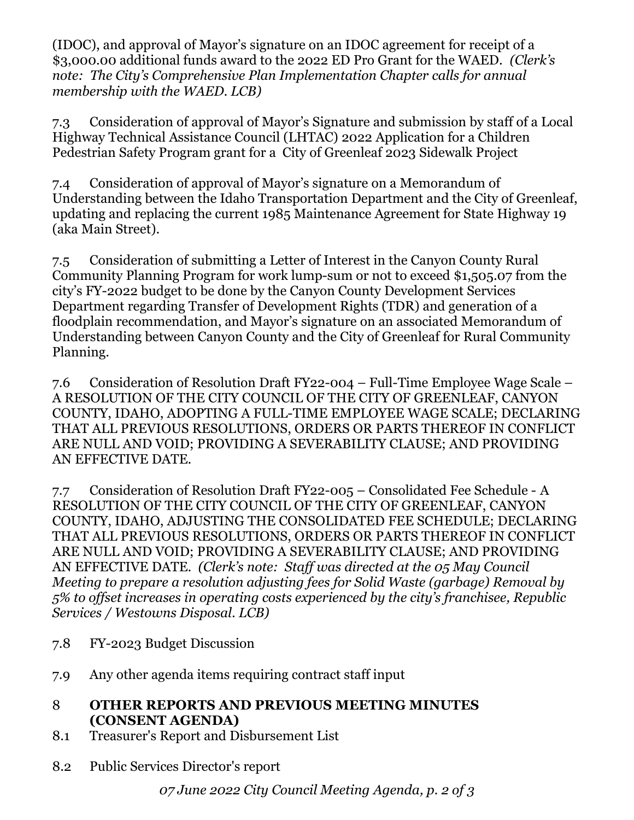(IDOC), and approval of Mayor's signature on an IDOC agreement for receipt of a \$3,000.00 additional funds award to the 2022 ED Pro Grant for the WAED. *(Clerk's note: The City's Comprehensive Plan Implementation Chapter calls for annual membership with the WAED. LCB)*

7.3 Consideration of approval of Mayor's Signature and submission by staff of a Local Highway Technical Assistance Council (LHTAC) 2022 Application for a Children Pedestrian Safety Program grant for a City of Greenleaf 2023 Sidewalk Project

7.4 Consideration of approval of Mayor's signature on a Memorandum of Understanding between the Idaho Transportation Department and the City of Greenleaf, updating and replacing the current 1985 Maintenance Agreement for State Highway 19 (aka Main Street).

7.5 Consideration of submitting a Letter of Interest in the Canyon County Rural Community Planning Program for work lump-sum or not to exceed \$1,505.07 from the city's FY-2022 budget to be done by the Canyon County Development Services Department regarding Transfer of Development Rights (TDR) and generation of a floodplain recommendation, and Mayor's signature on an associated Memorandum of Understanding between Canyon County and the City of Greenleaf for Rural Community Planning.

7.6 Consideration of Resolution Draft FY22-004 – Full-Time Employee Wage Scale – A RESOLUTION OF THE CITY COUNCIL OF THE CITY OF GREENLEAF, CANYON COUNTY, IDAHO, ADOPTING A FULL-TIME EMPLOYEE WAGE SCALE; DECLARING THAT ALL PREVIOUS RESOLUTIONS, ORDERS OR PARTS THEREOF IN CONFLICT ARE NULL AND VOID; PROVIDING A SEVERABILITY CLAUSE; AND PROVIDING AN EFFECTIVE DATE.

7.7 Consideration of Resolution Draft FY22-005 – Consolidated Fee Schedule - A RESOLUTION OF THE CITY COUNCIL OF THE CITY OF GREENLEAF, CANYON COUNTY, IDAHO, ADJUSTING THE CONSOLIDATED FEE SCHEDULE; DECLARING THAT ALL PREVIOUS RESOLUTIONS, ORDERS OR PARTS THEREOF IN CONFLICT ARE NULL AND VOID; PROVIDING A SEVERABILITY CLAUSE; AND PROVIDING AN EFFECTIVE DATE. *(Clerk's note: Staff was directed at the 05 May Council Meeting to prepare a resolution adjusting fees for Solid Waste (garbage) Removal by 5% to offset increases in operating costs experienced by the city's franchisee, Republic Services / Westowns Disposal. LCB)*

- 7.8 FY-2023 Budget Discussion
- 7.9 Any other agenda items requiring contract staff input

## 8 **OTHER REPORTS AND PREVIOUS MEETING MINUTES (CONSENT AGENDA)**

- 8.1 Treasurer's Report and Disbursement List
- 8.2 Public Services Director's report

*07 June 2022 City Council Meeting Agenda, p. 2 of 3*